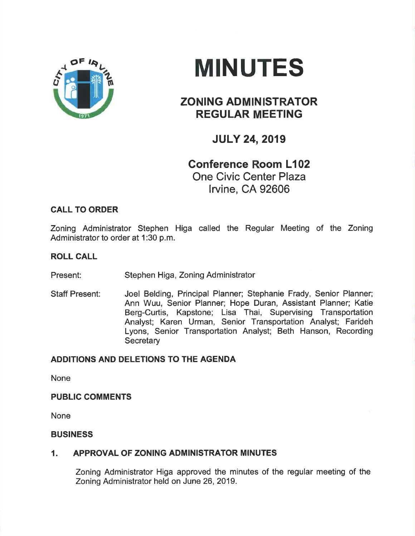

# **MINUTES**

# ZONING ADMINISTRATOR REGULAR MEETING

# JULY 24,2019

# Gonference Room L102 One Civic Center Plaza lrvine, CA 92606

# Zoning Administrator Stephen Higa called the Regular Meeting of the Zoning Administrator to order at 1:30 p.m.

# ROLL CALL

CALL TO ORDER

Present: Stephen Higa, Zoning Administrator

Staff Present: Joel Belding, Principal Planner; Stephanie Frady, Senior Planner; Ann Wuu, Senior Planner; Hope Duran, Assistant Planner; Katie Berg-Curtis, Kapstone; Lisa Thai, Supervising Transportation Analyst; Karen Urman, Senior Transportation Analyst; Farideh Lyons, Senior Transportation Analyst; Beth Hanson, Recording **Secretary** 

# ADDITIONS AND DELETIONS TO THE AGENDA

None

#### PUBLIC COMMENTS

None

#### BUSINESS

# 1. APPROVAL OF ZONING ADMINISTRATOR MINUTES

Zoning Administrator Higa approved the minutes of the regular meeting of the Zoning Administrator held on June 26,2019.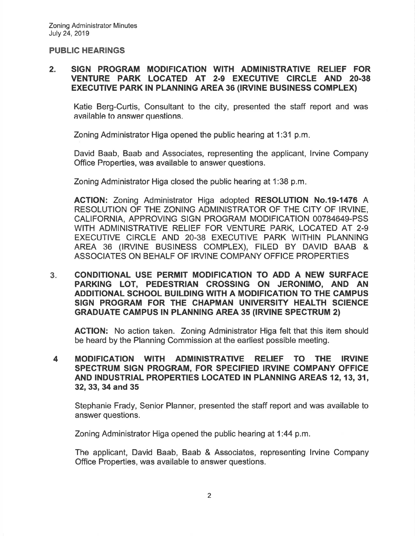#### PUBLIC HEARINGS

#### 2. SIGN PROGRAM MODIFICATION WITH ADMINISTRATIVE RELIEF FOR VENTURE PARK LOCATED AT 2.9 EXECUTIVE CIRCLE AND 20.38 EXECUTIVE PARK IN PLANNING AREA 36 (IRVINE BUSINESS COMPLEX)

Katie Berg-Curtis, Consultant to the city, presented the staff report and was available to answer questions.

Zoning Administrator Higa opened the public hearing at 1:31 p.m

David Baab, Baab and Associates, representing the applicant, lrvine Company Office Properties, was available to answer questions.

Zoning Administrator Higa closed the public hearing at 1:38 p.m

AGTION: Zoning Administrator Higa adopted RESOLUTION No.19-1476 A RESOLUTION OF THE ZONING ADMINISTRATOR OF THE CITY OF IRVINE, CALIFORNIA, APPROVING SIGN PROGRAM MODIFICATION 00784649-PSS WITH ADMINISTRATIVE RELIEF FOR VENTURE PARK, LOCATED AT 2-9 EXECUTIVE CIRCLE AND 20-38 EXECUTIVE PARK WITHIN PLANNING AREA 36 (IRVINE BUSINESS COMPLEX), FILED BY DAVID BAAB & ASSOCIATES ON BEHALF OF IRVINE COMPANY OFFICE PROPERTIES

CONDITIONAL USE PERMIT MODIFICATION TO ADD A NEW SURFACE PARK¡NG LOT, PEDESTRIAN CROSSING ON JERONIMO, AND AN ADDITIONAL SCHOOL BUILDING WITH A MODIFICATION TO THE CAMPUS SIGN PROGRAM FOR THE CHAPMAN UNIVERSITY HEALTH SCIENCE GRADUATE CAMPUS IN PLANNING AREA 35 (IRVINE SPECTRUM 2)  $3<sub>x</sub>$ 

ACTION: No action taken. Zoning Administrator Higa felt that this item should be heard by the Planning Commission at the earliest possible meeting.

MODIFICATION WITH ADMINISTRATIVE RELIEF TO THE IRVINE SPECTRUM SIGN PROGRAM, FOR SPECIFIED IRVINE COMPANY OFFICE AND INDUSTRIAL PROPERTIES LOCATED IN PLANNING AREAS 12,13,31, 32, 33, 34 and 35 4

Stephanie Frady, Senior Planner, presented the staff report and was available to answer questions.

Zoning Administrator Higa opened the public hearing at 1:44 p.m.

The applicant, David Baab, Baab & Associates, representing lrvine Company Office Properties, was available to answer questions.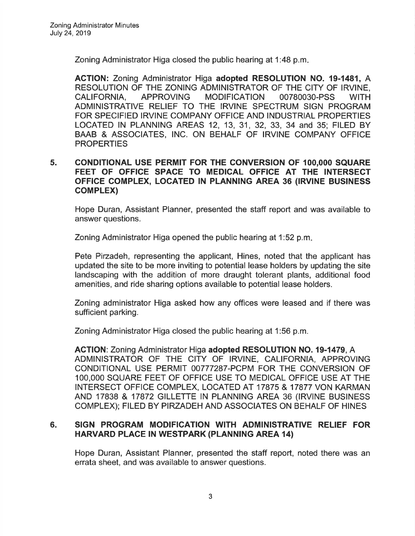Zoning Administrator Higa closed the public hearing at 1:48 p.m

ACTION: Zoning Administrator Higa adopted RESOLUTION NO. 19-1481, A RESOLUTION OF THE ZONING ADMINISTRATOR OF THE CITY OF IRVINE, CALIFORNIA, APPROVING MODIFICATION 00780030-PSS WITH ADMINISTRATIVE RELIEF TO THE IRVINE SPECTRUM SIGN PROGRAM FOR SPECIFIED IRVINE COMPANY OFFICE AND INDUSTRIAL PROPERTIES LOCATED lN PLANNING AREAS 12, 13, 31, 32, 33, 34 and 35; FILED BY BAAB & ASSOCIATES, INC. ON BEHALF OF IRVINE COMPANY OFFICE **PROPERTIES** 

#### 5. CONDITIONAL USE PERMIT FOR THE CONVERSION OF IOO,OOO SQUARE FEET OF OFFICE SPACE TO MEDICAL OFFICE AT THE INTERSECT OFFICE COMPLEX, LOCATED IN PLANNING AREA 36 (IRVINE BUSINESS coMPLEX)

Hope Duran, Assistant Planner, presented the staff report and was available to answer questions.

Zoning Administrator Higa opened the public hearing at 1:52 p.m

Pete Pirzadeh, representing the applicant, Hines, noted that the applicant has updated the site to be more inviting to potential lease holders by updating the site landscaping with the addition of more draught tolerant plants, additional food amenities, and ride sharing options available to potential lease holders.

Zoning administrator Higa asked how any offices were leased and íf there was sufficient parking.

Zoning Administrator Higa closed the public hearing at 1:56 p.m.

ACTION: Zoning Administrator Higa adopted RESOLUTION NO. 19-1479, A ADMINISTRATOR OF THE CITY OF IRVINE, CALIFORNIA, APPROVING CONDITIONAL USE PERMIT 00777287-PCPM FOR THE CONVERSION OF 100,000 SQUARE FEET OF OFFICE USE TO MEDICAL OFFICE USE AT THE INTERSECT OFFICE COMPLEX, LOCATED AT 17875 & 17877 VON KARMAN AND 17838 & 17872 GILLETTE IN PLANNING AREA 36 (IRVINE BUSINESS COMPLEX); FILED BY PIRZADEH AND ASSOCIATES ON BEHALF OF HINES

#### 6. SIGN PROGRAM MODIFICATION WITH ADMINISTRATIVE RELIEF FOR HARVARD PLACE IN WESTPARK (PLANNING AREA 14)

Hope Duran, Assistant Planner, presented the staff report, noted there was an errata sheet, and was available to answer questions.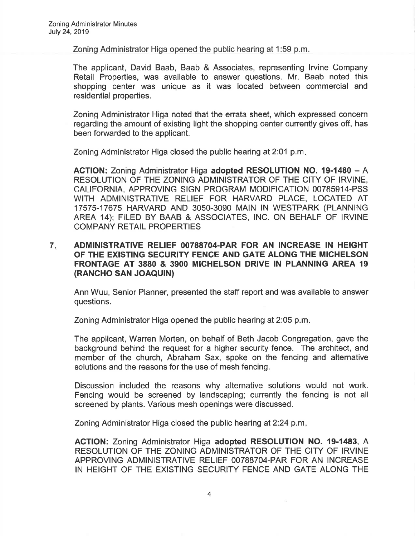Zoning Administrator Higa opened the public hearing at 1:59 p.m

The applicant, David Baab, Baab & Associates, representing lrvine Company Retail Properties, was available to answer questions. Mr. Baab noted this shopping center was unique as it was located between commercial and residential properties.

Zoning Administrator Higa noted that the errata sheet, which expressed concern regarding the amount of existing light the shopping center currently gives off, has been forwarded to the applicant.

Zoning Administrator Higa closed the public hearing at 2:01 p.m

ACTION: Zoning Administrator Higa adopted RESOLUTION NO. 19-1480 - A RESOLUTION OF THE ZONING ADMINISTRATOR OF THE CITY OF IRVINE, CAI IFORNIA, APPROVING SIGN PROGRAM MODIFICATION 00785914-PSS WITH ADMINISTRATIVE RELIEF FOR HARVARD PLACE, LOCATED AT 17575-17675 HARVARD AND 3050-3090 MAIN IN WESTPARK (PLANNING AREA 1a); FILED BY BAAB & ASSOCIATES, lNC. ON BEHALF OF IRVINE COMPANY RETAIL PROPERTIES

#### 7 ADMINISTRATIVE RELIEF OO7887O4.PAR FOR AN INCREASE IN HEIGHT OF THE EXISTING SEGURITY FENCE AND GATE ALONG THE MICHELSON FRONTAGE AT 3880 & 39OO MICHELSON DRIVE IN PLANNING AREA 19 (RANCHO SAN JOAQUIN)

Ann Wuu, Senior Planner, presented the staff report and was available to answer questions.

Zoning Administrator Higa opened the public hearing at 2:05 p.m

The applicant, Warren Morten, on behalf of Beth Jacob Congregation, gave the background behind the request for a higher security fence. The architect, and member of the church, Abraham Sax, spoke on the fencing and alternative solutions and the reasons for the use of mesh fencing.

Discussion included the reasons why alternative solutions would not work. Fencing would be screened by landscaping; currently the fencing is not all screened by plants. Various mesh openings were discussed.

Zoning Administrator Higa closed the public hearing at 2:24 p.m.

ACTION: Zoning Administrator Higa adopted RESOLUTION NO. 19-1483, A RESOLUTION OF THE ZONING ADMINISTRATOR OF THE CITY OF IRVINE APPROVING ADMINISTRATIVE RELIEF 00788704-PAR FOR AN INCREASE IN HEIGHT OF THE EXISTING SECURITY FENCE AND GATE ALONG THE